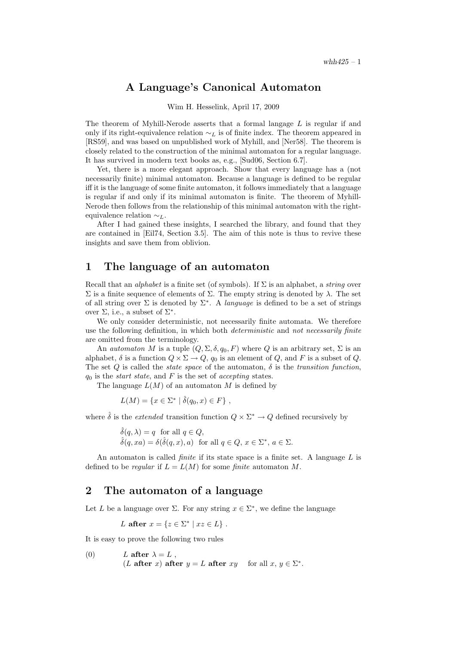## A Language's Canonical Automaton

#### Wim H. Hesselink, April 17, 2009

The theorem of Myhill-Nerode asserts that a formal langage  $L$  is regular if and only if its right-equivalence relation  $\sim_L$  is of finite index. The theorem appeared in [RS59], and was based on unpublished work of Myhill, and [Ner58]. The theorem is closely related to the construction of the minimal automaton for a regular language. It has survived in modern text books as, e.g., [Sud06, Section 6.7].

Yet, there is a more elegant approach. Show that every language has a (not necessarily finite) minimal automaton. Because a language is defined to be regular iff it is the language of some finite automaton, it follows immediately that a language is regular if and only if its minimal automaton is finite. The theorem of Myhill-Nerode then follows from the relationship of this minimal automaton with the rightequivalence relation  $\sim_L$ .

After I had gained these insights, I searched the library, and found that they are contained in [Eil74, Section 3.5]. The aim of this note is thus to revive these insights and save them from oblivion.

## 1 The language of an automaton

Recall that an *alphabet* is a finite set (of symbols). If  $\Sigma$  is an alphabet, a *string* over Σ is a finite sequence of elements of Σ. The empty string is denoted by λ. The set of all string over  $\Sigma$  is denoted by  $\Sigma^*$ . A *language* is defined to be a set of strings over  $\Sigma$ , i.e., a subset of  $\Sigma^*$ .

We only consider deterministic, not necessarily finite automata. We therefore use the following definition, in which both *deterministic* and not necessarily finite are omitted from the terminology.

An *automaton* M is a tuple  $(Q, \Sigma, \delta, q_0, F)$  where Q is an arbitrary set,  $\Sigma$  is an alphabet,  $\delta$  is a function  $Q \times \Sigma \rightarrow Q$ ,  $q_0$  is an element of Q, and F is a subset of Q. The set  $Q$  is called the *state space* of the automaton,  $\delta$  is the *transition function*,  $q_0$  is the *start state*, and F is the set of *accepting* states.

The language  $L(M)$  of an automaton M is defined by

$$
L(M) = \{ x \in \Sigma^* \mid \hat{\delta}(q_0, x) \in F \},
$$

where  $\hat{\delta}$  is the *extended* transition function  $Q \times \Sigma^* \to Q$  defined recursively by

 $\hat{\delta}(q, \lambda) = q$  for all  $q \in Q$ ,  $\hat{\delta}(q, xa) = \delta(\hat{\delta}(q, x), a)$  for all  $q \in Q, x \in \Sigma^*, a \in \Sigma$ .

An automaton is called *finite* if its state space is a finite set. A language  $L$  is defined to be *regular* if  $L = L(M)$  for some *finite* automaton M.

### 2 The automaton of a language

Let L be a language over  $\Sigma$ . For any string  $x \in \Sigma^*$ , we define the language

L after  $x = \{z \in \Sigma^* \mid xz \in L\}$ .

It is easy to prove the following two rules

(0) *L* after 
$$
\lambda = L
$$
,  
(*L* after *x*) after  $y = L$  after  $xy$  for all  $x, y \in \Sigma^*$ .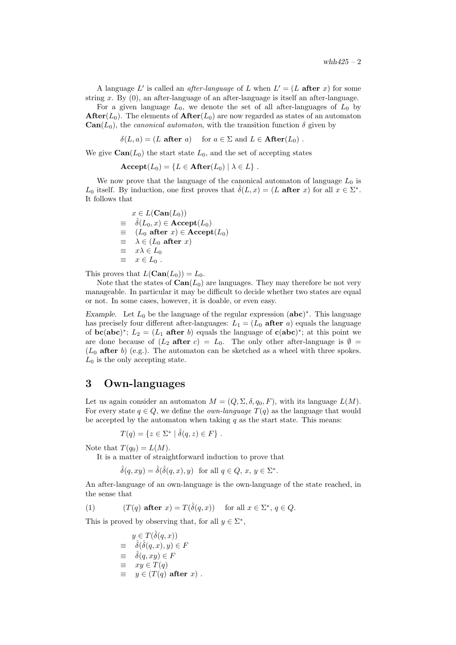A language L' is called an *after-language* of L when  $L' = (L \text{ after } x)$  for some string x. By  $(0)$ , an after-language of an after-language is itself an after-language.

For a given language  $L_0$ , we denote the set of all after-languages of  $L_0$  by **After**( $L_0$ ). The elements of **After**( $L_0$ ) are now regarded as states of an automaton  $\text{Can}(L_0)$ , the *canonical automaton*, with the transition function  $\delta$  given by

 $\delta(L, a) = (L \text{ after } a)$  for  $a \in \Sigma$  and  $L \in \text{After}(L_0)$ .

We give  $\text{Can}(L_0)$  the start state  $L_0$ , and the set of accepting states

 $\mathbf{Accept}(L_0) = \{L \in \mathbf{After}(L_0) \mid \lambda \in L\}.$ 

We now prove that the language of the canonical automaton of language  $L_0$  is L<sub>0</sub> itself. By induction, one first proves that  $\hat{\delta}(L,x) = (L \text{ after } x)$  for all  $x \in \Sigma^*$ . It follows that

$$
x \in L(\text{Can}(L_0))
$$
  
\n
$$
\equiv \hat{\delta}(L_0, x) \in \text{Accept}(L_0)
$$
  
\n
$$
\equiv (L_0 \text{ after } x) \in \text{Accept}(L_0)
$$
  
\n
$$
\equiv \lambda \in (L_0 \text{ after } x)
$$
  
\n
$$
\equiv x\lambda \in L_0
$$
  
\n
$$
\equiv x \in L_0.
$$

This proves that  $L(\text{Can}(L_0)) = L_0$ .

Note that the states of  $\text{Can}(L_0)$  are languages. They may therefore be not very manageable. In particular it may be difficult to decide whether two states are equal or not. In some cases, however, it is doable, or even easy.

Example. Let  $L_0$  be the language of the regular expression  $(abc)^*$ . This language has precisely four different after-languages:  $L_1 = (L_0 \text{ after } a)$  equals the language of **bc(abc)**<sup>\*</sup>;  $L_2 = (L_1 \text{ after } b)$  equals the language of **c(abc)**<sup>\*</sup>; at this point we are done because of  $(L_2 \text{ after } c) = L_0$ . The only other after-language is  $\emptyset =$  $(L_0$  after b) (e.g.). The automaton can be sketched as a wheel with three spokes.  $L_0$  is the only accepting state.

## 3 Own-languages

Let us again consider an automaton  $M = (Q, \Sigma, \delta, q_0, F)$ , with its language  $L(M)$ . For every state  $q \in Q$ , we define the *own-language*  $T(q)$  as the language that would be accepted by the automaton when taking  $q$  as the start state. This means:

$$
T(q) = \{ z \in \Sigma^* \mid \hat{\delta}(q, z) \in F \} .
$$

Note that  $T(q_0) = L(M)$ .

It is a matter of straightforward induction to prove that

$$
\hat{\delta}(q, xy) = \hat{\delta}(\hat{\delta}(q, x), y) \text{ for all } q \in Q, x, y \in \Sigma^*.
$$

An after-language of an own-language is the own-language of the state reached, in the sense that

(1)  $(T(q) \text{ after } x) = T(\hat{\delta}(q, x)) \text{ for all } x \in \Sigma^*, q \in Q.$ 

This is proved by observing that, for all  $y \in \Sigma^*$ ,

$$
y \in T(\hat{\delta}(q, x))
$$
  
\n
$$
\equiv \hat{\delta}(\hat{\delta}(q, x), y) \in F
$$
  
\n
$$
\equiv \hat{\delta}(q, xy) \in F
$$
  
\n
$$
\equiv xy \in T(q)
$$
  
\n
$$
\equiv y \in (T(q) \text{ after } x).
$$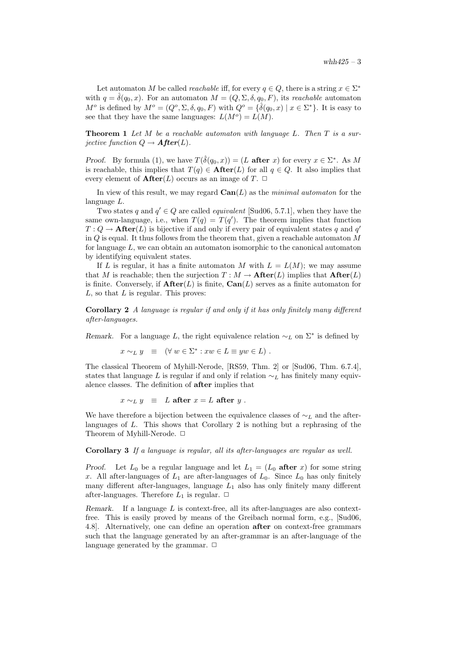Let automaton M be called *reachable* iff, for every  $q \in Q$ , there is a string  $x \in \Sigma^*$ with  $q = \hat{\delta}(q_0, x)$ . For an automaton  $M = (Q, \Sigma, \delta, q_0, F)$ , its reachable automaton  $M^o$  is defined by  $M^o = (Q^o, \Sigma, \delta, q_0, F)$  with  $Q^o = \{\hat{\delta}(q_0, x) \mid x \in \Sigma^*\}$ . It is easy to see that they have the same languages:  $L(M^o) = L(M)$ .

**Theorem 1** Let M be a reachable automaton with language L. Then  $T$  is a surjective function  $Q \rightarrow$  **After**(L).

*Proof.* By formula (1), we have  $T(\hat{\delta}(q_0, x)) = (L \text{ after } x)$  for every  $x \in \Sigma^*$ . As M is reachable, this implies that  $T(q) \in \textbf{After}(L)$  for all  $q \in Q$ . It also implies that every element of  $\textbf{After}(L)$  occurs as an image of T.  $\Box$ 

In view of this result, we may regard  $\text{Can}(L)$  as the minimal automaton for the language L.

Two states q and  $q' \in Q$  are called *equivalent* [Sud06, 5.7.1], when they have the same own-language, i.e., when  $T(q) = T(q')$ . The theorem implies that function  $T: Q \to \mathbf{After}(L)$  is bijective if and only if every pair of equivalent states q and q' in  $Q$  is equal. It thus follows from the theorem that, given a reachable automaton  $M$ for language L, we can obtain an automaton isomorphic to the canonical automaton by identifying equivalent states.

If L is regular, it has a finite automaton M with  $L = L(M)$ ; we may assume that M is reachable; then the surjection  $T : M \to \textbf{After}(L)$  implies that  $\textbf{After}(L)$ is finite. Conversely, if  $\textbf{After}(L)$  is finite,  $\textbf{Can}(L)$  serves as a finite automaton for  $L$ , so that  $L$  is regular. This proves:

Corollary 2 A language is regular if and only if it has only finitely many different after-languages.

Remark. For a language L, the right equivalence relation  $\sim_L$  on  $\Sigma^*$  is defined by

$$
x \sim_L y \equiv (\forall w \in \Sigma^* : xw \in L \equiv yw \in L).
$$

The classical Theorem of Myhill-Nerode, [RS59, Thm. 2] or [Sud06, Thm. 6.7.4], states that language L is regular if and only if relation  $\sim_L$  has finitely many equivalence classes. The definition of after implies that

$$
x \sim_L y \equiv L \text{ after } x = L \text{ after } y.
$$

We have therefore a bijection between the equivalence classes of  $\sim_L$  and the afterlanguages of L. This shows that Corollary 2 is nothing but a rephrasing of the Theorem of Myhill-Nerode.  $\Box$ 

#### Corollary 3 If a language is regular, all its after-languages are regular as well.

**Proof.** Let  $L_0$  be a regular language and let  $L_1 = (L_0 \text{ after } x)$  for some string x. All after-languages of  $L_1$  are after-languages of  $L_0$ . Since  $L_0$  has only finitely many different after-languages, language  $L_1$  also has only finitely many different after-languages. Therefore  $L_1$  is regular.  $\Box$ 

Remark. If a language  $L$  is context-free, all its after-languages are also contextfree. This is easily proved by means of the Greibach normal form, e.g., [Sud06, 4.8]. Alternatively, one can define an operation after on context-free grammars such that the language generated by an after-grammar is an after-language of the language generated by the grammar.  $\Box$